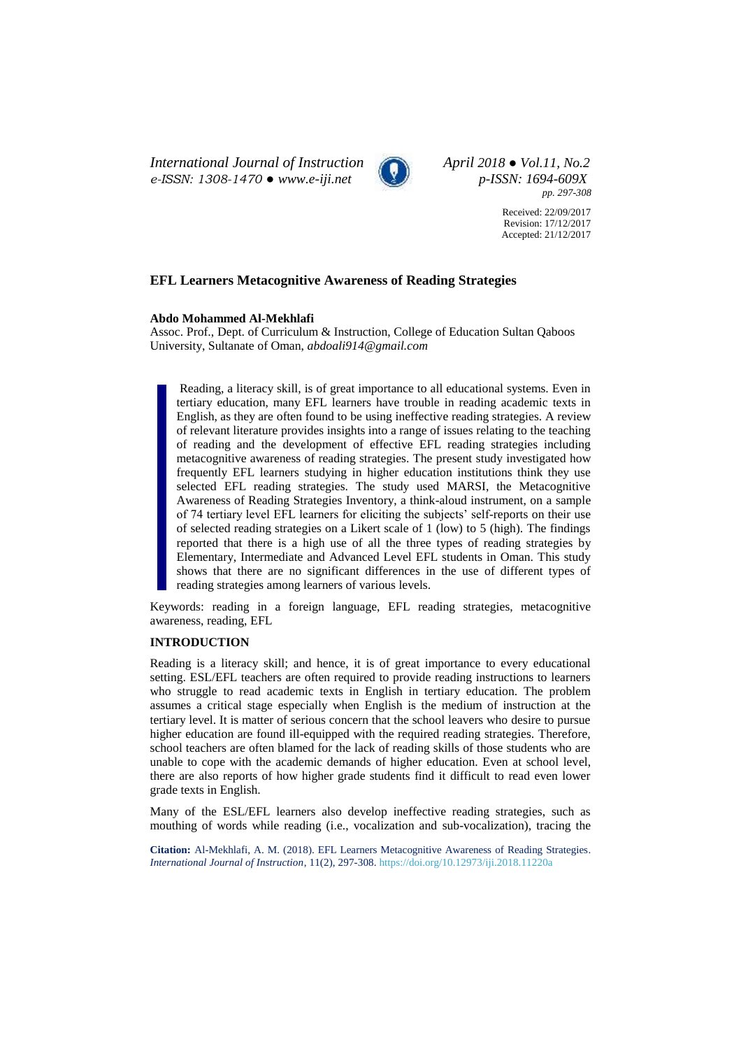*International Journal of Instruction April 2018 ● Vol.11, No.2 e-ISSN: 1308-1470 ● [www.e-iji.net](http://www.e-iji.net/) p-ISSN: 1694-609X*



*pp. 297-308*

Received: 22/09/2017 Revision: 17/12/2017 Accepted: 21/12/2017

# **EFL Learners Metacognitive Awareness of Reading Strategies**

#### **Abdo Mohammed Al-Mekhlafi**

Assoc. Prof., Dept. of Curriculum & Instruction, College of Education Sultan Qaboos University, Sultanate of Oman, *abdoali914@gmail.com*

Reading, a literacy skill, is of great importance to all educational systems. Even in tertiary education, many EFL learners have trouble in reading academic texts in English, as they are often found to be using ineffective reading strategies. A review of relevant literature provides insights into a range of issues relating to the teaching of reading and the development of effective EFL reading strategies including metacognitive awareness of reading strategies. The present study investigated how frequently EFL learners studying in higher education institutions think they use selected EFL reading strategies. The study used MARSI, the Metacognitive Awareness of Reading Strategies Inventory, a think-aloud instrument, on a sample of 74 tertiary level EFL learners for eliciting the subjects' self-reports on their use of selected reading strategies on a Likert scale of 1 (low) to 5 (high). The findings reported that there is a high use of all the three types of reading strategies by Elementary, Intermediate and Advanced Level EFL students in Oman. This study shows that there are no significant differences in the use of different types of reading strategies among learners of various levels.

Keywords: reading in a foreign language, EFL reading strategies, metacognitive awareness, reading, EFL

#### **INTRODUCTION**

Reading is a literacy skill; and hence, it is of great importance to every educational setting. ESL/EFL teachers are often required to provide reading instructions to learners who struggle to read academic texts in English in tertiary education. The problem assumes a critical stage especially when English is the medium of instruction at the tertiary level. It is matter of serious concern that the school leavers who desire to pursue higher education are found ill-equipped with the required reading strategies. Therefore, school teachers are often blamed for the lack of reading skills of those students who are unable to cope with the academic demands of higher education. Even at school level, there are also reports of how higher grade students find it difficult to read even lower grade texts in English.

Many of the ESL/EFL learners also develop ineffective reading strategies, such as mouthing of words while reading (i.e., vocalization and sub-vocalization), tracing the

**Citation:** Al-Mekhlafi, A. M. (2018). EFL Learners Metacognitive Awareness of Reading Strategies. *International Journal of Instruction*, 11(2), 297-308. <https://doi.org/10.12973/iji.2018.11220a>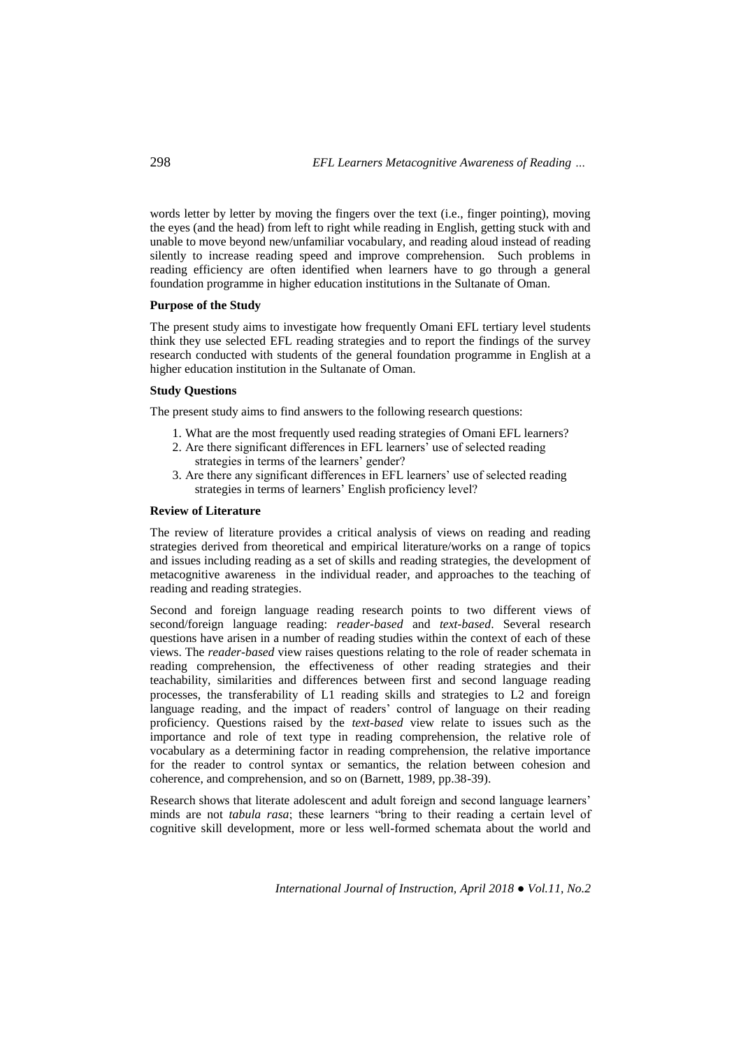words letter by letter by moving the fingers over the text (i.e., finger pointing), moving the eyes (and the head) from left to right while reading in English, getting stuck with and unable to move beyond new/unfamiliar vocabulary, and reading aloud instead of reading silently to increase reading speed and improve comprehension. Such problems in reading efficiency are often identified when learners have to go through a general foundation programme in higher education institutions in the Sultanate of Oman.

#### **Purpose of the Study**

The present study aims to investigate how frequently Omani EFL tertiary level students think they use selected EFL reading strategies and to report the findings of the survey research conducted with students of the general foundation programme in English at a higher education institution in the Sultanate of Oman.

#### **Study Questions**

The present study aims to find answers to the following research questions:

- 1. What are the most frequently used reading strategies of Omani EFL learners?
- 2. Are there significant differences in EFL learners' use of selected reading strategies in terms of the learners' gender?
- 3. Are there any significant differences in EFL learners' use of selected reading strategies in terms of learners' English proficiency level?

# **Review of Literature**

The review of literature provides a critical analysis of views on reading and reading strategies derived from theoretical and empirical literature/works on a range of topics and issues including reading as a set of skills and reading strategies, the development of metacognitive awareness in the individual reader, and approaches to the teaching of reading and reading strategies.

Second and foreign language reading research points to two different views of second/foreign language reading: *reader-based* and *text-based*. Several research questions have arisen in a number of reading studies within the context of each of these views. The *reader-based* view raises questions relating to the role of reader schemata in reading comprehension, the effectiveness of other reading strategies and their teachability, similarities and differences between first and second language reading processes, the transferability of L1 reading skills and strategies to L2 and foreign language reading, and the impact of readers' control of language on their reading proficiency. Questions raised by the *text-based* view relate to issues such as the importance and role of text type in reading comprehension, the relative role of vocabulary as a determining factor in reading comprehension, the relative importance for the reader to control syntax or semantics, the relation between cohesion and coherence, and comprehension, and so on (Barnett, 1989, pp.38-39).

Research shows that literate adolescent and adult foreign and second language learners' minds are not *tabula rasa*; these learners "bring to their reading a certain level of cognitive skill development, more or less well-formed schemata about the world and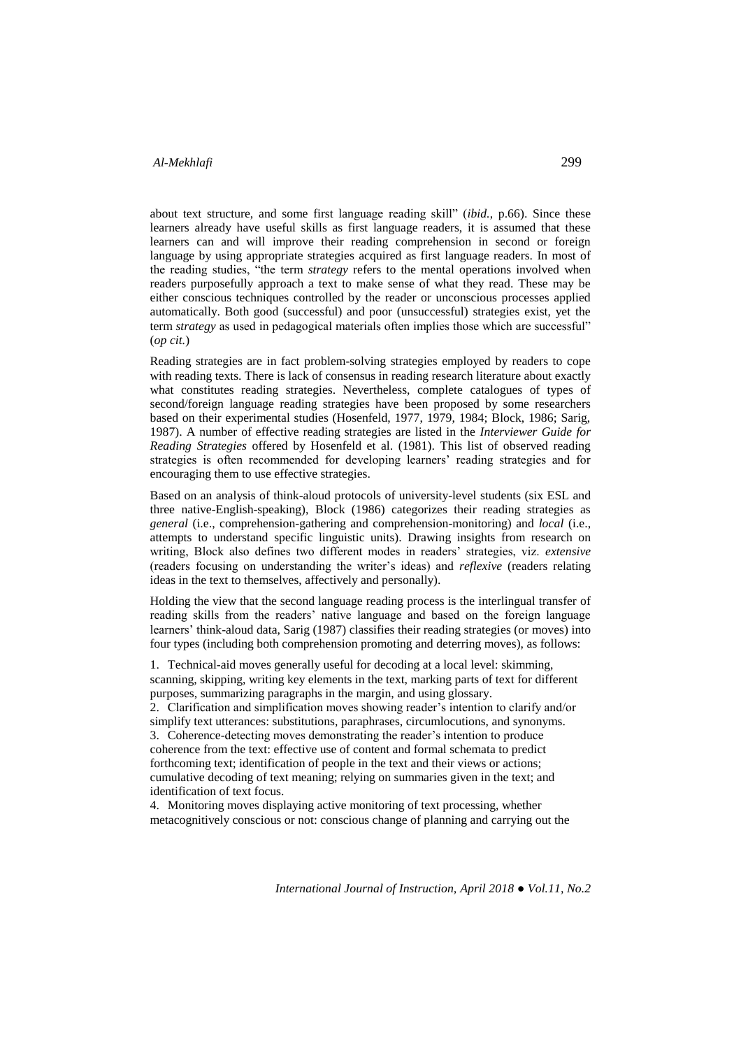about text structure, and some first language reading skill" (*ibid.*, p.66). Since these learners already have useful skills as first language readers, it is assumed that these learners can and will improve their reading comprehension in second or foreign language by using appropriate strategies acquired as first language readers. In most of the reading studies, "the term *strategy* refers to the mental operations involved when readers purposefully approach a text to make sense of what they read. These may be either conscious techniques controlled by the reader or unconscious processes applied automatically. Both good (successful) and poor (unsuccessful) strategies exist, yet the term *strategy* as used in pedagogical materials often implies those which are successful" (*op cit.*)

Reading strategies are in fact problem-solving strategies employed by readers to cope with reading texts. There is lack of consensus in reading research literature about exactly what constitutes reading strategies. Nevertheless, complete catalogues of types of second/foreign language reading strategies have been proposed by some researchers based on their experimental studies (Hosenfeld, 1977, 1979, 1984; Block, 1986; Sarig, 1987). A number of effective reading strategies are listed in the *Interviewer Guide for Reading Strategies* offered by Hosenfeld et al. (1981). This list of observed reading strategies is often recommended for developing learners' reading strategies and for encouraging them to use effective strategies.

Based on an analysis of think-aloud protocols of university-level students (six ESL and three native-English-speaking), Block (1986) categorizes their reading strategies as *general* (i.e., comprehension-gathering and comprehension-monitoring) and *local* (i.e., attempts to understand specific linguistic units). Drawing insights from research on writing, Block also defines two different modes in readers' strategies, viz. *extensive* (readers focusing on understanding the writer's ideas) and *reflexive* (readers relating ideas in the text to themselves, affectively and personally).

Holding the view that the second language reading process is the interlingual transfer of reading skills from the readers' native language and based on the foreign language learners' think-aloud data, Sarig (1987) classifies their reading strategies (or moves) into four types (including both comprehension promoting and deterring moves), as follows:

1. Technical-aid moves generally useful for decoding at a local level: skimming, scanning, skipping, writing key elements in the text, marking parts of text for different purposes, summarizing paragraphs in the margin, and using glossary.

2. Clarification and simplification moves showing reader's intention to clarify and/or simplify text utterances: substitutions, paraphrases, circumlocutions, and synonyms. 3. Coherence-detecting moves demonstrating the reader's intention to produce coherence from the text: effective use of content and formal schemata to predict forthcoming text; identification of people in the text and their views or actions; cumulative decoding of text meaning; relying on summaries given in the text; and identification of text focus.

4. Monitoring moves displaying active monitoring of text processing, whether metacognitively conscious or not: conscious change of planning and carrying out the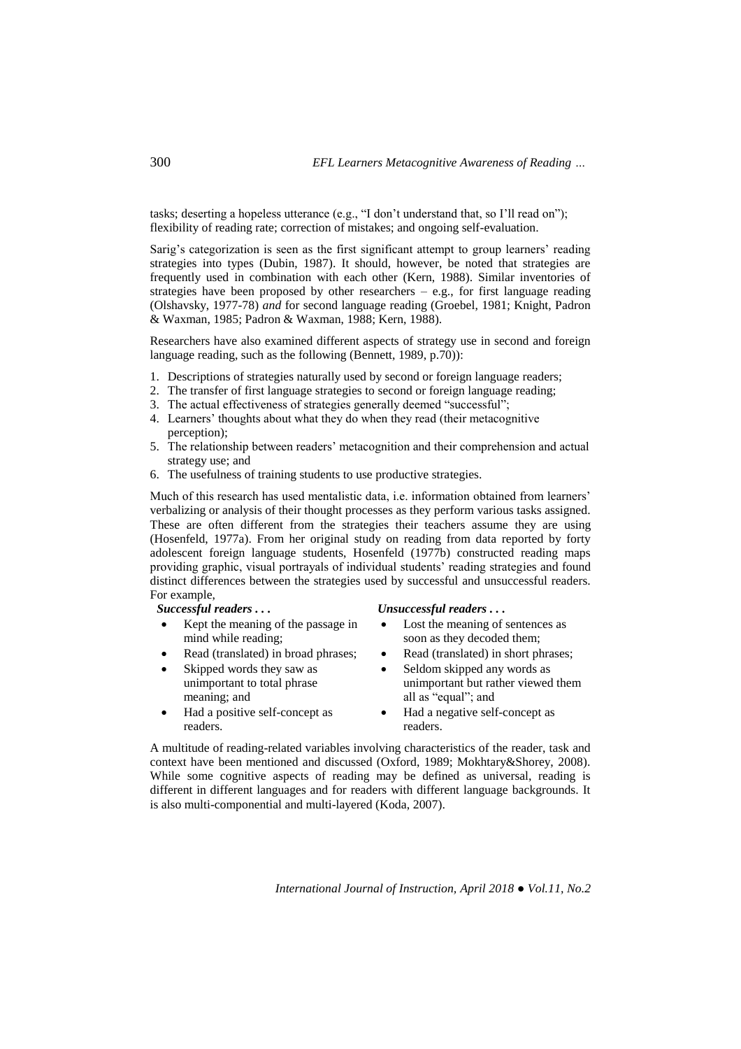tasks; deserting a hopeless utterance (e.g., "I don't understand that, so I'll read on"); flexibility of reading rate; correction of mistakes; and ongoing self-evaluation.

Sarig's categorization is seen as the first significant attempt to group learners' reading strategies into types (Dubin, 1987). It should, however, be noted that strategies are frequently used in combination with each other (Kern, 1988). Similar inventories of strategies have been proposed by other researchers  $-$  e.g., for first language reading (Olshavsky, 1977-78) *and* for second language reading (Groebel, 1981; Knight, Padron & Waxman, 1985; Padron & Waxman, 1988; Kern, 1988).

Researchers have also examined different aspects of strategy use in second and foreign language reading, such as the following (Bennett, 1989, p.70)):

- 1. Descriptions of strategies naturally used by second or foreign language readers;
- 2. The transfer of first language strategies to second or foreign language reading;
- 3. The actual effectiveness of strategies generally deemed "successful";
- 4. Learners' thoughts about what they do when they read (their metacognitive perception);
- 5. The relationship between readers' metacognition and their comprehension and actual strategy use; and
- 6. The usefulness of training students to use productive strategies.

Much of this research has used mentalistic data, i.e. information obtained from learners' verbalizing or analysis of their thought processes as they perform various tasks assigned. These are often different from the strategies their teachers assume they are using (Hosenfeld, 1977a). From her original study on reading from data reported by forty adolescent foreign language students, Hosenfeld (1977b) constructed reading maps providing graphic, visual portrayals of individual students' reading strategies and found distinct differences between the strategies used by successful and unsuccessful readers. For example,<br>Successful readers...

- Kept the meaning of the passage in mind while reading;
- 
- Skipped words they saw as unimportant to total phrase meaning; and
- Had a positive self-concept as readers.

#### *Successful readers . . . Unsuccessful readers . . .*

- Lost the meaning of sentences as soon as they decoded them;
- Read (translated) in broad phrases; Read (translated) in short phrases;
	- Seldom skipped any words as
	- unimportant but rather viewed them all as "equal"; and
	- Had a negative self-concept as readers.

A multitude of reading-related variables involving characteristics of the reader, task and context have been mentioned and discussed (Oxford, 1989; Mokhtary&Shorey, 2008). While some cognitive aspects of reading may be defined as universal, reading is different in different languages and for readers with different language backgrounds. It is also multi-componential and multi-layered (Koda, 2007).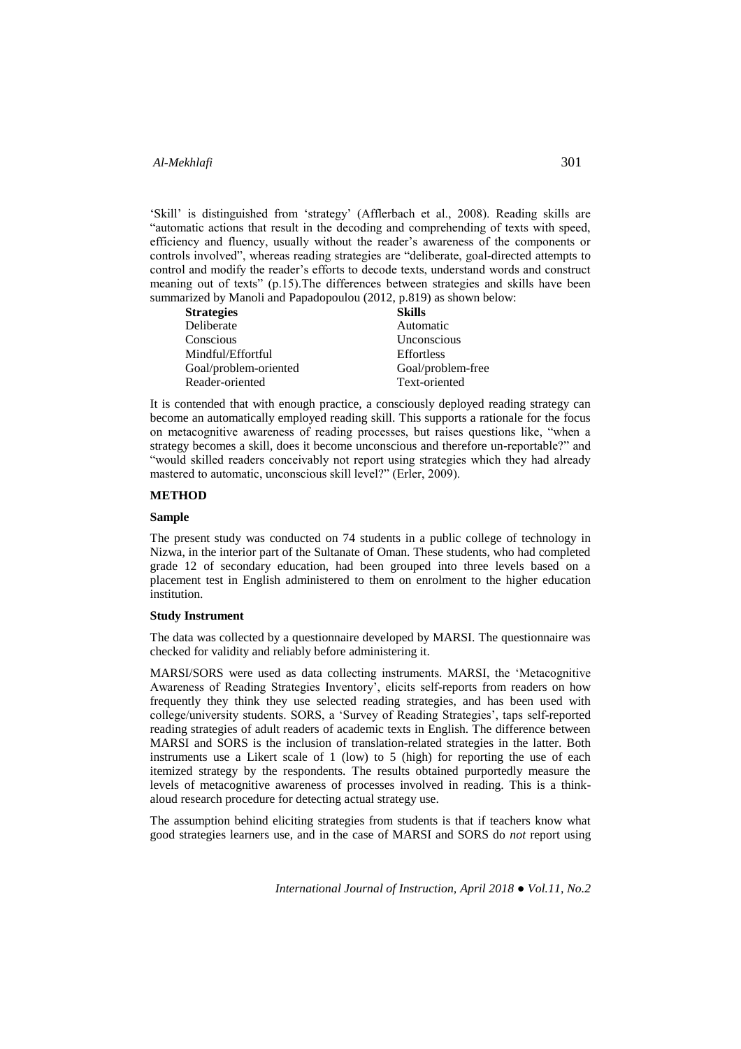'Skill' is distinguished from 'strategy' (Afflerbach et al., 2008). Reading skills are "automatic actions that result in the decoding and comprehending of texts with speed, efficiency and fluency, usually without the reader's awareness of the components or controls involved", whereas reading strategies are "deliberate, goal-directed attempts to control and modify the reader's efforts to decode texts, understand words and construct meaning out of texts" (p.15).The differences between strategies and skills have been summarized by Manoli and Papadopoulou (2012, p.819) as shown below:

| <b>Strategies</b>     | <b>Skills</b>     |
|-----------------------|-------------------|
| Deliberate            | Automatic         |
| Conscious             | Unconscious       |
| Mindful/Effortful     | <b>Effortless</b> |
| Goal/problem-oriented | Goal/problem-free |
| Reader-oriented       | Text-oriented     |
|                       |                   |

It is contended that with enough practice, a consciously deployed reading strategy can become an automatically employed reading skill. This supports a rationale for the focus on metacognitive awareness of reading processes, but raises questions like, "when a strategy becomes a skill, does it become unconscious and therefore un-reportable?" and "would skilled readers conceivably not report using strategies which they had already mastered to automatic, unconscious skill level?" (Erler, 2009).

## **METHOD**

# **Sample**

The present study was conducted on 74 students in a public college of technology in Nizwa, in the interior part of the Sultanate of Oman. These students, who had completed grade 12 of secondary education, had been grouped into three levels based on a placement test in English administered to them on enrolment to the higher education institution.

#### **Study Instrument**

The data was collected by a questionnaire developed by MARSI. The questionnaire was checked for validity and reliably before administering it.

MARSI/SORS were used as data collecting instruments. MARSI, the 'Metacognitive Awareness of Reading Strategies Inventory', elicits self-reports from readers on how frequently they think they use selected reading strategies, and has been used with college/university students. SORS, a 'Survey of Reading Strategies', taps self-reported reading strategies of adult readers of academic texts in English. The difference between MARSI and SORS is the inclusion of translation-related strategies in the latter. Both instruments use a Likert scale of 1 (low) to 5 (high) for reporting the use of each itemized strategy by the respondents. The results obtained purportedly measure the levels of metacognitive awareness of processes involved in reading. This is a thinkaloud research procedure for detecting actual strategy use.

The assumption behind eliciting strategies from students is that if teachers know what good strategies learners use, and in the case of MARSI and SORS do *not* report using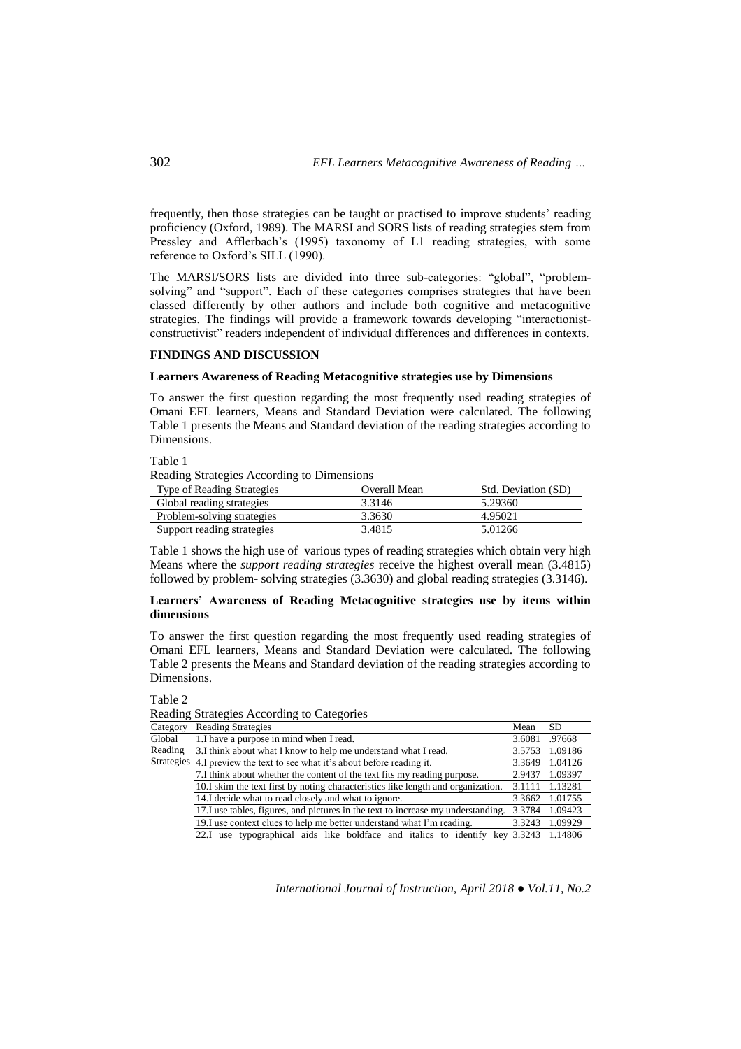frequently, then those strategies can be taught or practised to improve students' reading proficiency (Oxford, 1989). The MARSI and SORS lists of reading strategies stem from Pressley and Afflerbach's (1995) taxonomy of L1 reading strategies, with some reference to Oxford's SILL (1990).

The MARSI/SORS lists are divided into three sub-categories: "global", "problemsolving" and "support". Each of these categories comprises strategies that have been classed differently by other authors and include both cognitive and metacognitive strategies. The findings will provide a framework towards developing "interactionistconstructivist" readers independent of individual differences and differences in contexts.

#### **FINDINGS AND DISCUSSION**

#### **Learners Awareness of Reading Metacognitive strategies use by Dimensions**

To answer the first question regarding the most frequently used reading strategies of Omani EFL learners, Means and Standard Deviation were calculated. The following Table 1 presents the Means and Standard deviation of the reading strategies according to Dimensions.

Table 1

Reading Strategies According to Dimensions

| <b>Type of Reading Strategies</b> | Overall Mean | Std. Deviation (SD) |
|-----------------------------------|--------------|---------------------|
| Global reading strategies         | 3.3146       | 5.29360             |
| Problem-solving strategies        | 3.3630       | 4.95021             |
| Support reading strategies        | 3.4815       | 5.01266             |

Table 1 shows the high use of various types of reading strategies which obtain very high Means where the *support reading strategies* receive the highest overall mean (3.4815) followed by problem- solving strategies (3.3630) and global reading strategies (3.3146).

#### **Learners' Awareness of Reading Metacognitive strategies use by items within dimensions**

To answer the first question regarding the most frequently used reading strategies of Omani EFL learners, Means and Standard Deviation were calculated. The following Table 2 presents the Means and Standard deviation of the reading strategies according to Dimensions.

| `able |  |
|-------|--|
|-------|--|

|                   | Reading Strategies According to Categories                                        |        |         |
|-------------------|-----------------------------------------------------------------------------------|--------|---------|
| Category          | <b>Reading Strategies</b>                                                         | Mean   | SD      |
| Global            | 1. I have a purpose in mind when I read.                                          | 3.6081 | .97668  |
| Reading           | 3. I think about what I know to help me understand what I read.                   | 3.5753 | 1.09186 |
| <b>Strategies</b> | 4. I preview the text to see what it's about before reading it.                   | 3.3649 | 1.04126 |
|                   | 7. I think about whether the content of the text fits my reading purpose.         | 2.9437 | 1.09397 |
|                   | 10. I skim the text first by noting characteristics like length and organization. | 3.1111 | 1.13281 |
|                   | 14. I decide what to read closely and what to ignore.                             | 3.3662 | 1.01755 |
|                   | 17. I use tables, figures, and pictures in the text to increase my understanding. | 3.3784 | 1.09423 |
|                   | 19.I use context clues to help me better understand what I'm reading.             | 3.3243 | 1.09929 |

22.I use typographical aids like boldface and italics to identify key 3.3243 1.14806

Reading Strategies According to Categories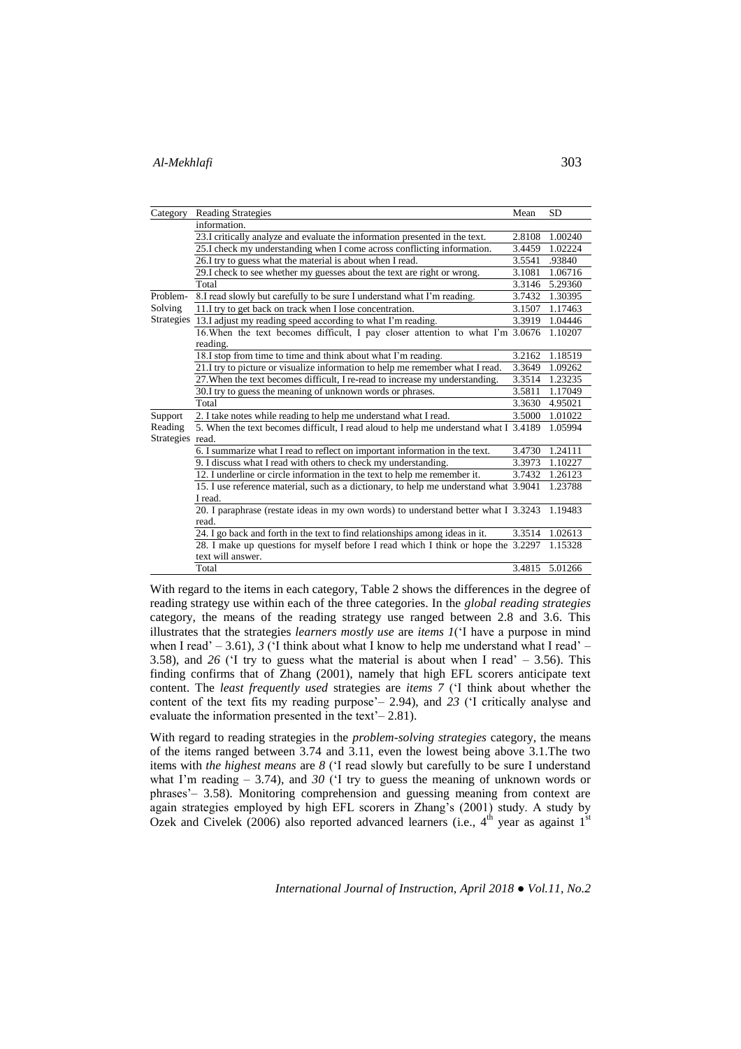| Category          | <b>Reading Strategies</b>                                                             | Mean   | <b>SD</b>      |
|-------------------|---------------------------------------------------------------------------------------|--------|----------------|
|                   | information.                                                                          |        |                |
|                   | 23.I critically analyze and evaluate the information presented in the text.           | 2.8108 | 1.00240        |
|                   | 25.I check my understanding when I come across conflicting information.               | 3.4459 | 1.02224        |
|                   | 26.I try to guess what the material is about when I read.                             | 3.5541 | .93840         |
|                   | 29.I check to see whether my guesses about the text are right or wrong.               | 3.1081 | 1.06716        |
|                   | Total                                                                                 | 3.3146 | 5.29360        |
| Problem-          | 8.I read slowly but carefully to be sure I understand what I'm reading.               | 3.7432 | 1.30395        |
| Solving           | 11. I try to get back on track when I lose concentration.                             | 3.1507 | 1.17463        |
| <b>Strategies</b> | 13.I adjust my reading speed according to what I'm reading.                           | 3.3919 | 1.04446        |
|                   | 16. When the text becomes difficult, I pay closer attention to what I'm 3.0676        |        | 1.10207        |
|                   | reading.                                                                              |        |                |
|                   | 18.I stop from time to time and think about what I'm reading.                         | 3.2162 | 1.18519        |
|                   | 21.I try to picture or visualize information to help me remember what I read.         | 3.3649 | 1.09262        |
|                   | 27. When the text becomes difficult, I re-read to increase my understanding.          | 3.3514 | 1.23235        |
|                   | 30. I try to guess the meaning of unknown words or phrases.                           | 3.5811 | 1.17049        |
|                   | Total                                                                                 | 3.3630 | 4.95021        |
| Support           | 2. I take notes while reading to help me understand what I read.                      | 3.5000 | 1.01022        |
| Reading           | 5. When the text becomes difficult, I read aloud to help me understand what I 3.4189  |        | 1.05994        |
| Strategies read.  |                                                                                       |        |                |
|                   | 6. I summarize what I read to reflect on important information in the text.           | 3.4730 | 1.24111        |
|                   | 9. I discuss what I read with others to check my understanding.                       | 3.3973 | 1.10227        |
|                   | 12. I underline or circle information in the text to help me remember it.             | 3.7432 | 1.26123        |
|                   | 15. I use reference material, such as a dictionary, to help me understand what 3.9041 |        | 1.23788        |
|                   | I read.                                                                               |        |                |
|                   | 20. I paraphrase (restate ideas in my own words) to understand better what I 3.3243   |        | 1.19483        |
|                   | read.                                                                                 |        |                |
|                   | 24. I go back and forth in the text to find relationships among ideas in it.          | 3.3514 | 1.02613        |
|                   | 28. I make up questions for myself before I read which I think or hope the 3.2297     |        | 1.15328        |
|                   | text will answer.                                                                     |        |                |
|                   | Total                                                                                 |        | 3.4815 5.01266 |

With regard to the items in each category, Table 2 shows the differences in the degree of reading strategy use within each of the three categories. In the *global reading strategies* category, the means of the reading strategy use ranged between 2.8 and 3.6. This illustrates that the strategies *learners mostly use* are *items 1*('I have a purpose in mind when I read'  $-$  3.61),  $3$  ('I think about what I know to help me understand what I read'  $-$ 3.58), and  $26$  ( $\overline{1}$  try to guess what the material is about when I read'  $-$  3.56). This finding confirms that of Zhang (2001), namely that high EFL scorers anticipate text content. The *least frequently used* strategies are *items 7* ('I think about whether the content of the text fits my reading purpose'– 2.94), and *23* ('I critically analyse and evaluate the information presented in the text'– 2.81).

With regard to reading strategies in the *problem-solving strategies* category, the means of the items ranged between 3.74 and 3.11, even the lowest being above 3.1.The two items with *the highest means* are *8* ('I read slowly but carefully to be sure I understand what I'm reading  $-3.74$ ), and 30 ('I try to guess the meaning of unknown words or phrases'– 3.58). Monitoring comprehension and guessing meaning from context are again strategies employed by high EFL scorers in Zhang's (2001) study. A study by Ozek and Civelek (2006) also reported advanced learners (i.e.,  $4<sup>th</sup>$  year as against  $1<sup>st</sup>$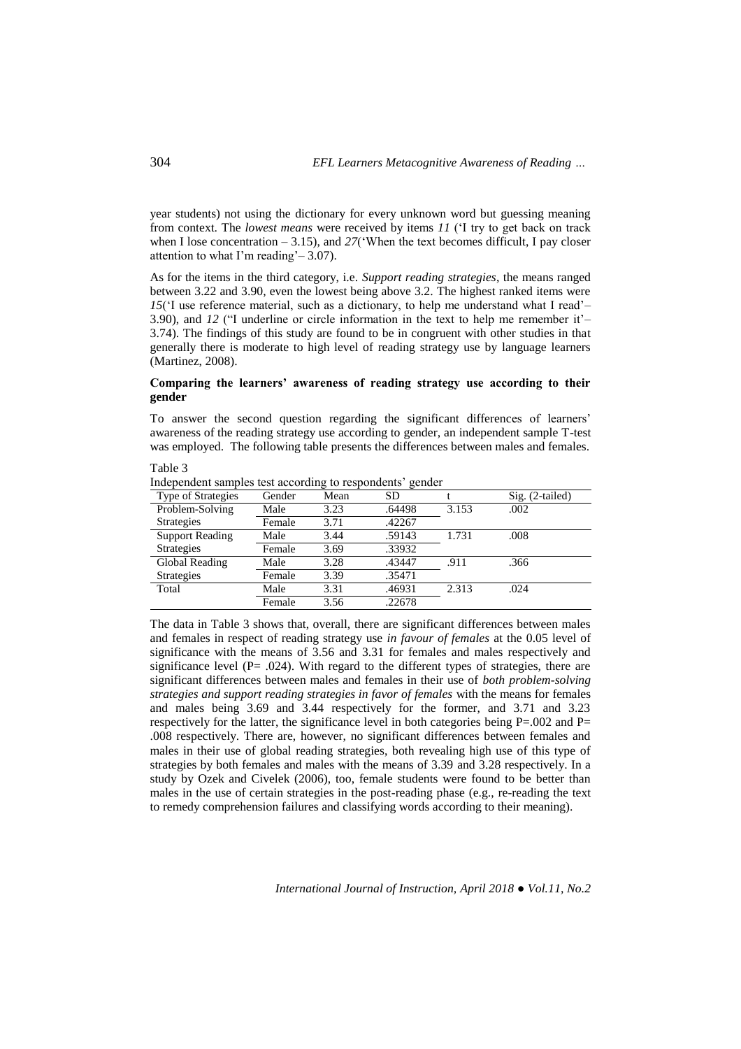year students) not using the dictionary for every unknown word but guessing meaning from context. The *lowest means* were received by items *11* ('I try to get back on track when I lose concentration  $-3.15$ ), and  $27$  (When the text becomes difficult, I pay closer attention to what I'm reading'– 3.07).

As for the items in the third category, i.e. *Support reading strategies*, the means ranged between 3.22 and 3.90, even the lowest being above 3.2. The highest ranked items were *15*('I use reference material, such as a dictionary, to help me understand what I read'– 3.90), and *12* ("I underline or circle information in the text to help me remember it'– 3.74). The findings of this study are found to be in congruent with other studies in that generally there is moderate to high level of reading strategy use by language learners (Martinez, 2008).

## **Comparing the learners' awareness of reading strategy use according to their gender**

To answer the second question regarding the significant differences of learners' awareness of the reading strategy use according to gender, an independent sample T-test was employed. The following table presents the differences between males and females.

| <b>Type of Strategies</b> | Gender | - 7<br>Mean | SD     |       | $Sig. (2-tailed)$ |
|---------------------------|--------|-------------|--------|-------|-------------------|
| Problem-Solving           | Male   | 3.23        | .64498 | 3.153 | .002              |
| <b>Strategies</b>         | Female | 3.71        | .42267 |       |                   |
| <b>Support Reading</b>    | Male   | 3.44        | .59143 | 1.731 | .008              |
| <b>Strategies</b>         | Female | 3.69        | .33932 |       |                   |
| Global Reading            | Male   | 3.28        | .43447 | .911  | .366              |
| <b>Strategies</b>         | Female | 3.39        | .35471 |       |                   |
| Total                     | Male   | 3.31        | .46931 | 2.313 | .024              |
|                           | Female | 3.56        | .22678 |       |                   |

Independent samples test according to respondents' gender

The data in Table 3 shows that, overall, there are significant differences between males and females in respect of reading strategy use *in favour of females* at the 0.05 level of significance with the means of 3.56 and 3.31 for females and males respectively and significance level  $(P = .024)$ . With regard to the different types of strategies, there are significant differences between males and females in their use of *both problem-solving strategies and support reading strategies in favor of females* with the means for females and males being 3.69 and 3.44 respectively for the former, and 3.71 and 3.23 respectively for the latter, the significance level in both categories being P=.002 and P= .008 respectively. There are, however, no significant differences between females and males in their use of global reading strategies, both revealing high use of this type of strategies by both females and males with the means of 3.39 and 3.28 respectively. In a study by Ozek and Civelek (2006), too, female students were found to be better than males in the use of certain strategies in the post-reading phase (e.g., re-reading the text to remedy comprehension failures and classifying words according to their meaning).

*International Journal of Instruction, April 2018 ● Vol.11, No.2*

Table 3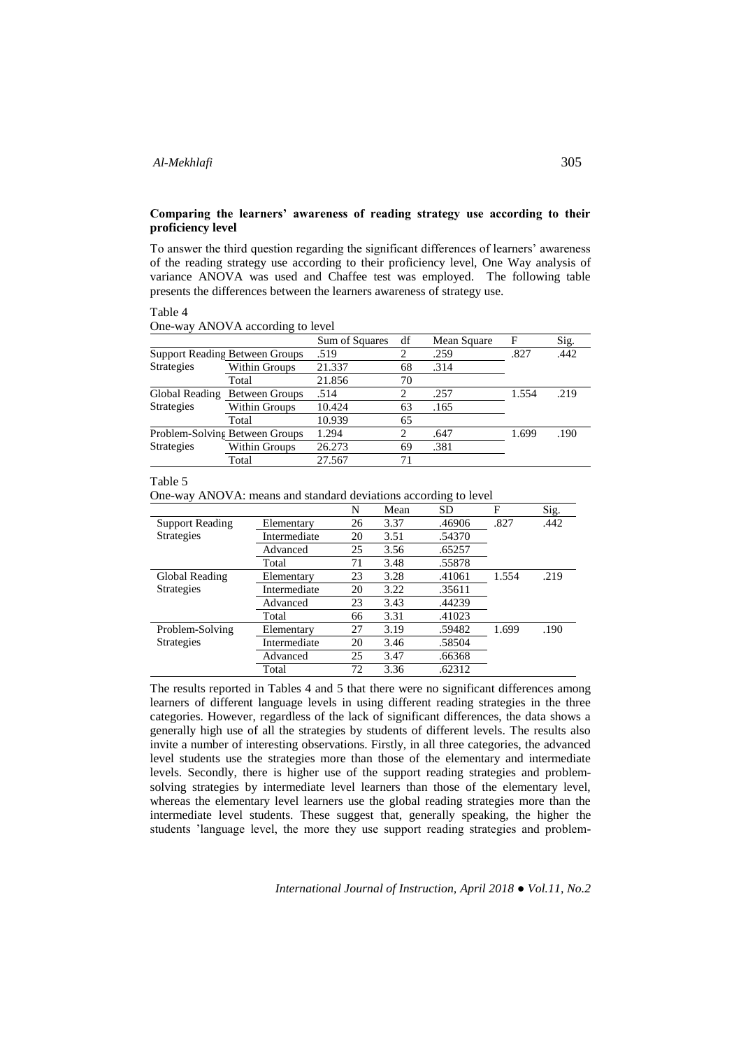# **Comparing the learners' awareness of reading strategy use according to their proficiency level**

To answer the third question regarding the significant differences of learners' awareness of the reading strategy use according to their proficiency level, One Way analysis of variance ANOVA was used and Chaffee test was employed. The following table presents the differences between the learners awareness of strategy use.

## Table 4

One-way ANOVA according to level

|                                       |                               | Sum of Squares | df | Mean Square | F     | Sig. |
|---------------------------------------|-------------------------------|----------------|----|-------------|-------|------|
| <b>Support Reading Between Groups</b> |                               | .519           |    | .259        | .827  | .442 |
| <b>Strategies</b>                     | Within Groups                 | 21.337         | 68 | .314        |       |      |
|                                       | Total                         | 21.856         | 70 |             |       |      |
|                                       | Global Reading Between Groups | .514           | ∍  | .257        | 1.554 | .219 |
| <b>Strategies</b>                     | Within Groups                 | 10.424         | 63 | .165        |       |      |
|                                       | Total                         | 10.939         | 65 |             |       |      |
| Problem-Solving Between Groups        |                               | 1.294          |    | .647        | 1.699 | .190 |
| <b>Strategies</b>                     | Within Groups                 | 26.273         | 69 | .381        |       |      |
|                                       | Total                         | 27.567         | 71 |             |       |      |

#### Table 5

One-way ANOVA: means and standard deviations according to level

|                        |              | N  | Mean | <b>SD</b> | F     | Sig. |
|------------------------|--------------|----|------|-----------|-------|------|
| <b>Support Reading</b> | Elementary   | 26 | 3.37 | .46906    | .827  | .442 |
| <b>Strategies</b>      | Intermediate | 20 | 3.51 | .54370    |       |      |
|                        | Advanced     | 25 | 3.56 | .65257    |       |      |
|                        | Total        | 71 | 3.48 | .55878    |       |      |
| Global Reading         | Elementary   | 23 | 3.28 | .41061    | 1.554 | .219 |
| <b>Strategies</b>      | Intermediate | 20 | 3.22 | .35611    |       |      |
|                        | Advanced     | 23 | 3.43 | .44239    |       |      |
|                        | Total        | 66 | 3.31 | .41023    |       |      |
| Problem-Solving        | Elementary   | 27 | 3.19 | .59482    | 1.699 | .190 |
| <b>Strategies</b>      | Intermediate | 20 | 3.46 | .58504    |       |      |
|                        | Advanced     | 25 | 3.47 | .66368    |       |      |
|                        | Total        | 72 | 3.36 | .62312    |       |      |

The results reported in Tables 4 and 5 that there were no significant differences among learners of different language levels in using different reading strategies in the three categories. However, regardless of the lack of significant differences, the data shows a generally high use of all the strategies by students of different levels. The results also invite a number of interesting observations. Firstly, in all three categories, the advanced level students use the strategies more than those of the elementary and intermediate levels. Secondly, there is higher use of the support reading strategies and problemsolving strategies by intermediate level learners than those of the elementary level, whereas the elementary level learners use the global reading strategies more than the intermediate level students. These suggest that, generally speaking, the higher the students 'language level, the more they use support reading strategies and problem-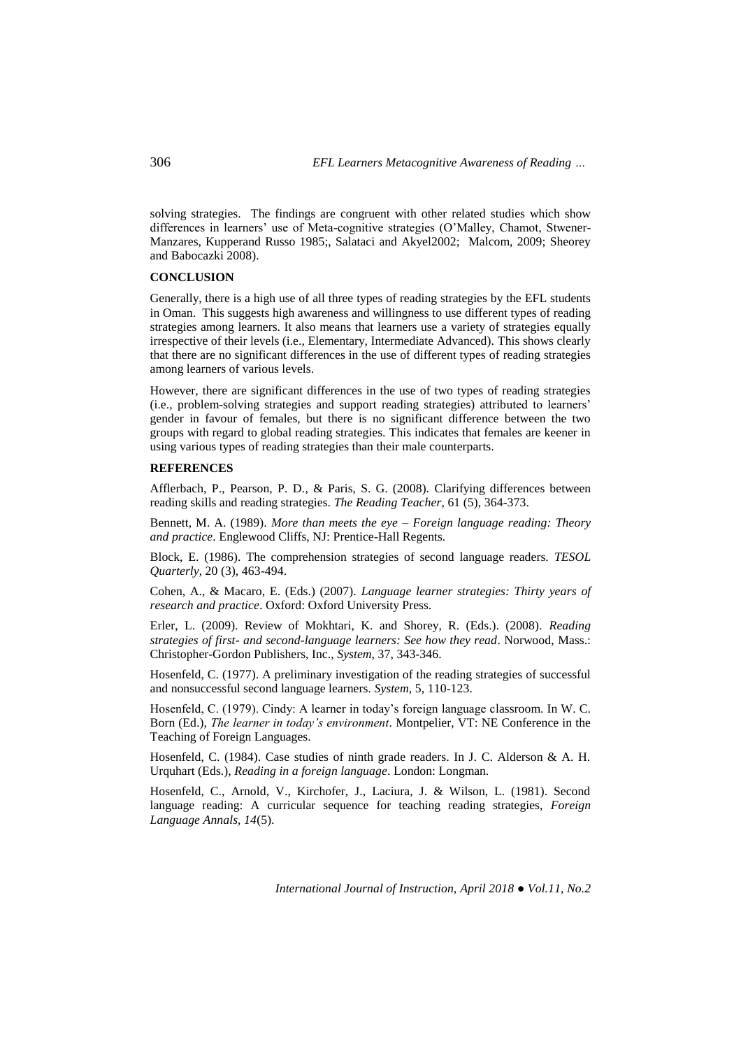solving strategies. The findings are congruent with other related studies which show differences in learners' use of Meta-cognitive strategies (O'Malley, Chamot, Stwener-Manzares, Kupperand Russo 1985;, Salataci and Akyel2002; Malcom, 2009; Sheorey and Babocazki 2008).

#### **CONCLUSION**

Generally, there is a high use of all three types of reading strategies by the EFL students in Oman. This suggests high awareness and willingness to use different types of reading strategies among learners. It also means that learners use a variety of strategies equally irrespective of their levels (i.e., Elementary, Intermediate Advanced). This shows clearly that there are no significant differences in the use of different types of reading strategies among learners of various levels.

However, there are significant differences in the use of two types of reading strategies (i.e., problem-solving strategies and support reading strategies) attributed to learners' gender in favour of females, but there is no significant difference between the two groups with regard to global reading strategies. This indicates that females are keener in using various types of reading strategies than their male counterparts.

## **REFERENCES**

Afflerbach, P., Pearson, P. D., & Paris, S. G. (2008). Clarifying differences between reading skills and reading strategies. *The Reading Teacher*, 61 (5), 364-373.

Bennett, M. A. (1989). *More than meets the eye – Foreign language reading: Theory and practice*. Englewood Cliffs, NJ: Prentice-Hall Regents.

Block, E. (1986). The comprehension strategies of second language readers. *TESOL Quarterly*, 20 (3), 463-494.

Cohen, A., & Macaro, E. (Eds.) (2007). *Language learner strategies: Thirty years of research and practice*. Oxford: Oxford University Press.

Erler, L. (2009). Review of Mokhtari, K. and Shorey, R. (Eds.). (2008). *Reading strategies of first- and second-language learners: See how they read*. Norwood, Mass.: Christopher-Gordon Publishers, Inc., *System*, 37, 343-346.

Hosenfeld, C. (1977). A preliminary investigation of the reading strategies of successful and nonsuccessful second language learners. *System*, 5, 110-123.

Hosenfeld, C. (1979). Cindy: A learner in today's foreign language classroom. In W. C. Born (Ed.), *The learner in today's environment*. Montpelier, VT: NE Conference in the Teaching of Foreign Languages.

Hosenfeld, C. (1984). Case studies of ninth grade readers. In J. C. Alderson & A. H. Urquhart (Eds.), *Reading in a foreign language*. London: Longman.

Hosenfeld, C., Arnold, V., Kirchofer, J., Laciura, J. & Wilson, L. (1981). Second language reading: A curricular sequence for teaching reading strategies, *Foreign Language Annals, 14*(5).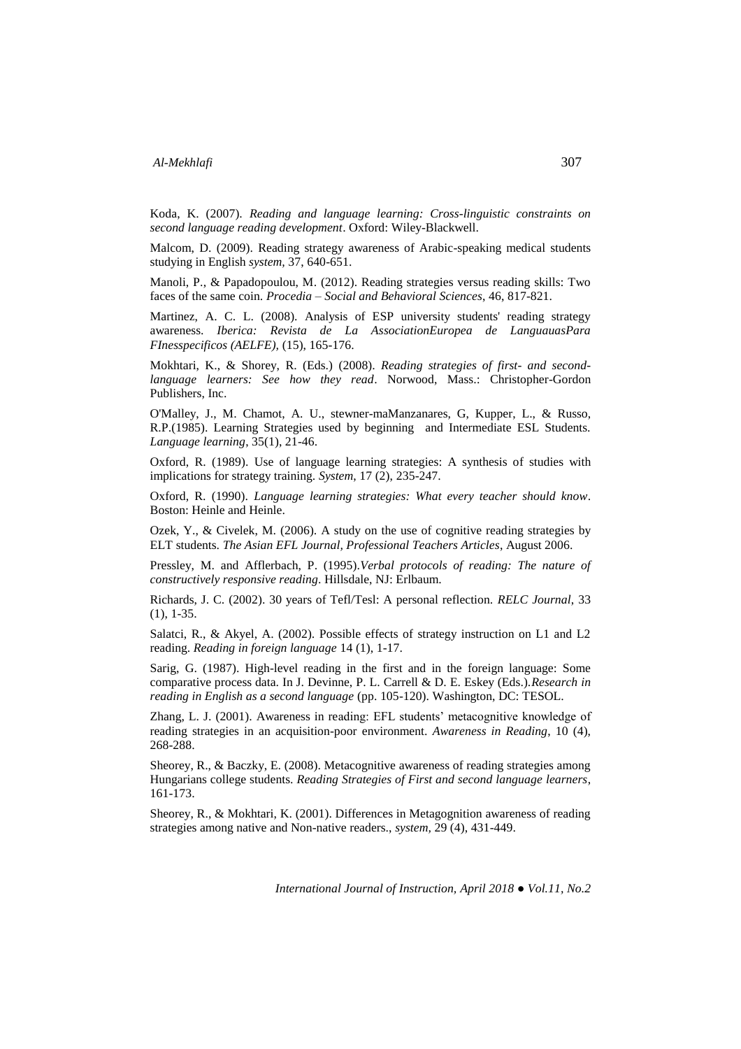Koda, K. (2007). *Reading and language learning: Cross-linguistic constraints on second language reading development*. Oxford: Wiley-Blackwell.

Malcom, D. (2009). Reading strategy awareness of Arabic-speaking medical students studying in English *system,* 37, 640-651.

Manoli, P., & Papadopoulou, M. (2012). Reading strategies versus reading skills: Two faces of the same coin. *Procedia – Social and Behavioral Sciences*, 46, 817-821.

Martinez, A. C. L. (2008). Analysis of ESP university students' reading strategy awareness. *Iberica: Revista de La AssociationEuropea de LanguauasPara FInesspecificos (AELFE),* (15), 165-176.

Mokhtari, K., & Shorey, R. (Eds.) (2008). *Reading strategies of first- and secondlanguage learners: See how they read*. Norwood, Mass.: Christopher-Gordon Publishers, Inc.

O'Malley, J., M. Chamot, A. U., stewner-maManzanares, G, Kupper, L., & Russo, R.P.(1985). Learning Strategies used by beginning and Intermediate ESL Students. *Language learning*, 35(1), 21-46.

Oxford, R. (1989). Use of language learning strategies: A synthesis of studies with implications for strategy training. *System*, 17 (2), 235-247.

Oxford, R. (1990). *Language learning strategies: What every teacher should know*. Boston: Heinle and Heinle.

Ozek, Y., & Civelek, M. (2006). A study on the use of cognitive reading strategies by ELT students. *The Asian EFL Journal, Professional Teachers Articles*, August 2006.

Pressley, M. and Afflerbach, P. (1995).*Verbal protocols of reading: The nature of constructively responsive reading*. Hillsdale, NJ: Erlbaum.

Richards, J. C. (2002). 30 years of Tefl/Tesl: A personal reflection. *RELC Journal*, 33 (1), 1-35.

Salatci, R., & Akyel, A. (2002). Possible effects of strategy instruction on L1 and L2 reading. *Reading in foreign language* 14 (1), 1-17.

Sarig, G. (1987). High-level reading in the first and in the foreign language: Some comparative process data. In J. Devinne, P. L. Carrell & D. E. Eskey (Eds.).*Research in reading in English as a second language* (pp. 105-120). Washington, DC: TESOL.

Zhang, L. J. (2001). Awareness in reading: EFL students' metacognitive knowledge of reading strategies in an acquisition-poor environment. *Awareness in Reading*, 10 (4), 268-288.

Sheorey, R., & Baczky, E. (2008). Metacognitive awareness of reading strategies among Hungarians college students. *Reading Strategies of First and second language learners*, 161-173.

Sheorey, R., & Mokhtari, K. (2001). Differences in Metagognition awareness of reading strategies among native and Non-native readers., *system,* 29 (4), 431-449.